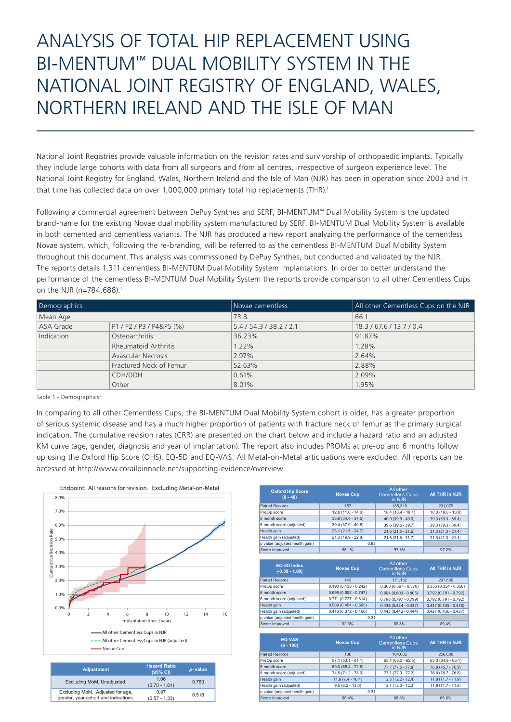## ANALYSIS OF TOTAL HIP REPLACEMENT USING BI-MENTUM™ DUAL MOBILITY SYSTEM IN THE NATIONAL JOINT REGISTRY OF ENGLAND, WALES, NORTHERN IRELAND AND THE ISLE OF MAN

National Joint Registries provide valuable information on the revision rates and survivorship of orthopaedic implants. Typically they include large cohorts with data from all surgeons and from all centres, irrespective of surgeon experience level. The National Joint Registry for England, Wales, Northern Ireland and the Isle of Man (NJR) has been in operation since 2003 and in that time has collected data on over 1,000,000 primary total hip replacements (THR).<sup>1</sup>

Following a commercial agreement between DePuy Synthes and SERF, BI-MENTUM™ Dual Mobility System is the updated brand-name for the existing Novae dual mobility system manufactured by SERF. BI-MENTUM Dual Mobility System is available in both cemented and cementless variants. The NJR has produced a new report analyzing the performance of the cementless Novae system, which, following the re-branding, will be referred to as the cementless BI-MENTUM Dual Mobility System throughout this document. This analysis was commissioned by DePuy Synthes, but conducted and validated by the NJR. The reports details 1,311 cementless BI-MENTUM Dual Mobility System Implantations. In order to better understand the performance of the cementless BI-MENTUM Dual Mobility System the reports provide comparison to all other Cementless Cups on the NJR (n=784,688).<sup>2</sup>

| Demographics |                             | Novae cementless  | All other Cementless Cups on the NJR |
|--------------|-----------------------------|-------------------|--------------------------------------|
| Mean Age     |                             | 73.8              | 66.1                                 |
| ASA Grade    | P1 / P2 / P3 / P4&P5 (%)    | 5.4/54.3/38.2/2.1 | 18.3/67.6/13.7/0.4                   |
| Indication   | Osteoarthritis              | 36.23%            | 91.87%                               |
|              | <b>Rheumatoid Arthritis</b> | 1.22%             | 1.28%                                |
|              | <b>Avascular Necrosis</b>   | 2.97%             | 2.64%                                |
|              | Fractured Neck of Femur     | 52.63%            | 2.88%                                |
|              | CDH/DDH                     | 0.61%             | 2.09%                                |
|              | Other                       | 8.01%             | 1.95%                                |

Table 1 - Demographics<sup>2</sup>

In comparing to all other Cementless Cups, the BI-MENTUM Dual Mobility System cohort is older, has a greater proportion of serious systemic disease and has a much higher proportion of patients with fracture neck of femur as the primary surgical or senous systeme disease and has a math higher proportion or patients with nactale neck or remain as the primary sargical indication. The cumulative revision rates (CRR) are presented on the chart below and include a haza KM curve (age, gender, diagnosis and year of implantation). The report also includes PROMs at pre-op and 6 months follow up using the Oxford Hip Score (OHS), EQ-5D and EQ-VAS. All Metal-on-Metal articluations were excluded. All reports can be accessed at http://www.corailpinnacle.net/supporting-evidence/overview. 8.0%



| <b>Adjustment</b>                                                        | <b>Hazard Ratio</b><br>(95% CI) | p-value |
|--------------------------------------------------------------------------|---------------------------------|---------|
| Excluding MoM, Unadjusted.                                               | 1.06<br>$(0.70 - 1.61)$         | 0.783   |
| Excluding MoM. Adjusted for age,<br>gender, year cohort and indications. | 0.87<br>$(0.57 - 1.33)$         | 0.518   |
|                                                                          |                                 |         |

| <b>Oxford Hip Score</b><br>$(0 - 48)$  | <b>Novae Cup</b>       | All other<br><b>Cementless Cups</b><br>in NJR | <b>All THR in NJR</b>  |
|----------------------------------------|------------------------|-----------------------------------------------|------------------------|
| Paired Records                         | 157                    | 185,310                                       | 291,079                |
| PreOp score                            | 12.8 (11.6 - 14.0)     | 18.4 (18.4 - 18.4)                            | $18.0(18.0 - 18.0)$    |
| 6 month score                          | $35.9(34.4 - 37.5)$    | $40.0(39.9 - 40.0)$                           | 39.3 (39.3 - 39.4)     |
| 6 month score (adjusted)               | $39.4(37.9 - 40.8)$    | 39.6 (39.6 - 39.7)                            | 39.3 (39.3 - 39.4)     |
| Health gain                            | $23.1(21.5 - 24.7)$    | $21.6(21.5 - 21.6)$                           | $21.3(21.3 - 21.4)$    |
| Health gain (adjusted)                 | $21.3(19.9 - 22.8)$    | $21.6(21.6 - 21.7)$                           | $21.3(21.3 - 21.4)$    |
| p value (adjusted health gain)         | 0.85                   |                                               |                        |
| Score Improved                         | 98.1%                  | 97.3%                                         | 97.2%                  |
|                                        |                        |                                               |                        |
| <b>EQ-5D Index</b><br>$(-0.59 - 1.00)$ | <b>Novae Cup</b>       | All other<br><b>Cementless Cups</b><br>in NJR | <b>All THR in NJR</b>  |
| Paired Records                         | 143                    | 171,132                                       | 267,686                |
| PreOp score                            | $0.190(0.138 - 0.242)$ | $0.368(0.367 - 0.370)$                        | $0.355(0.354 - 0.356)$ |
| 6 month score                          | $0.699(0.652 - 0.747)$ | $0.804$ (0.803 - 0.805)                       | $0.792(0.791 - 0.792)$ |
| 6 month score (adjusted)               | $0.771(0.727 - 0.814)$ | $0.798(0.797 - 0.799)$                        | $0.792(0.791 - 0.792)$ |
| Health gain                            | $0.509(0.454 - 0.565)$ | $0.436(0.434 - 0.437)$                        | $0.437(0.435 - 0.438)$ |
| Health gain (adjusted)                 | $0.416(0.372 - 0.460)$ | $0.443(0.442 - 0.444)$                        | $0.437(0.436 - 0.437)$ |
| p value (adjusted health gain)         | 0.31                   |                                               |                        |
| Score Improved                         | 92.3%                  | 89.8%                                         | 89.4%                  |
|                                        |                        |                                               |                        |
| <b>EQ-VAS</b><br>$(0 - 100)$           | <b>Novae Cup</b>       | All other<br><b>Cementless Cups</b><br>in NJR | <b>All THR in NJR</b>  |
| <b>Paired Records</b>                  | 136                    | 164.662                                       | 256,680                |
| PreOp score                            | $57.1(53.1 - 61.1)$    | $65.4(65.3 - 65.5)$                           | $65.0 (64.9 - 65.1)$   |
| 6 month score                          | $69.0(65.4 - 72.6)$    | 77.7 (77.6 - 77.8)                            | 76.8 (76.7 - 76.9)     |
| 6 month score (adjusted)               | 74.6 (71.2 - 78.0)     | 77.1 (77.0 - 77.2)                            | 76.8 (76.7 - 76.8)     |
| Health gain                            | $11.9(7.4 - 16.4)$     | $12.3(12.2 - 12.4)$                           | $11.8(11.7 - 11.9)$    |
| Health gain (adjusted)                 | $9.6(6.2 - 13.0)$      | 12.1 (12.0 - 12.2)                            | $11.8(11.7 - 11.8)$    |
| p value (adjusted health gain)         | 0.31                   |                                               |                        |
| Score Improved                         | 65.4%                  | 66.8%                                         | 65.6%                  |